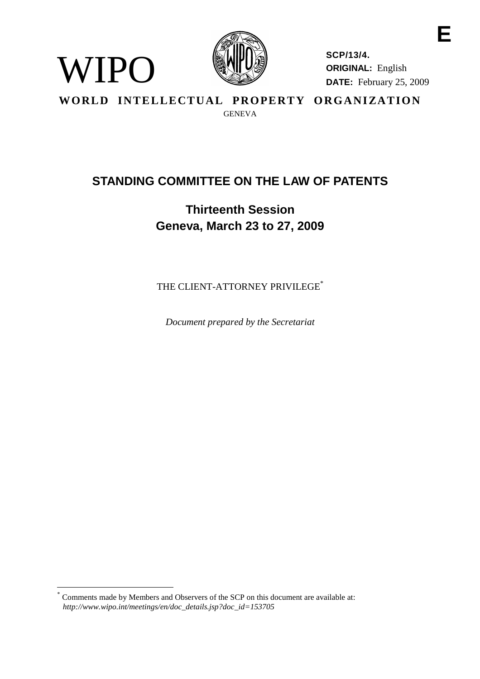

WIPO

**SCP/13/4. ORIGINAL:** English **DATE:** February 25, 2009 **E**

**WORLD INTELLECTUAL PROPERTY ORGANIZATION** GENEVA

# **STANDING COMMITTEE ON THE LAW OF PATENTS**

# **Thirteenth Session Geneva, March 23 to 27, 2009**

THE CLIENT-ATTORNEY PRIVILEGE<sup>\*</sup>

*Document prepared by the Secretariat*

<sup>\*</sup> Comments made by Members and Observers of the SCP on this document are available at: *http://www.wipo.int/meetings/en/doc\_details.jsp?doc\_id=153705*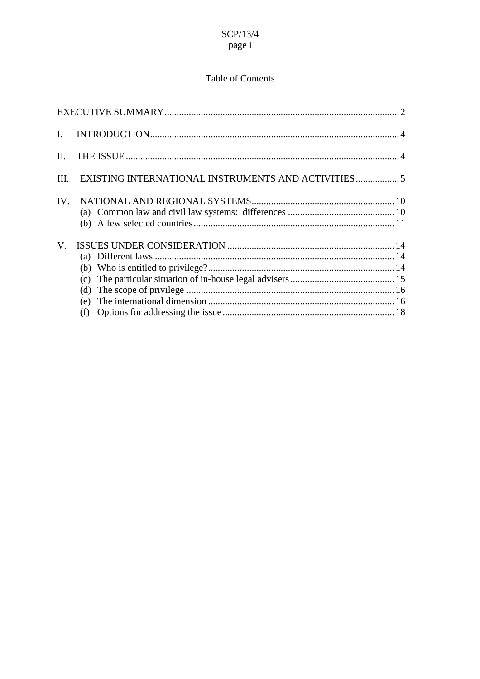## Table of Contents

| L.       |                          |  |
|----------|--------------------------|--|
| Н.       |                          |  |
| Ш.       |                          |  |
| $IV_{-}$ |                          |  |
| V.       | (c)<br>(d)<br>(e)<br>(f) |  |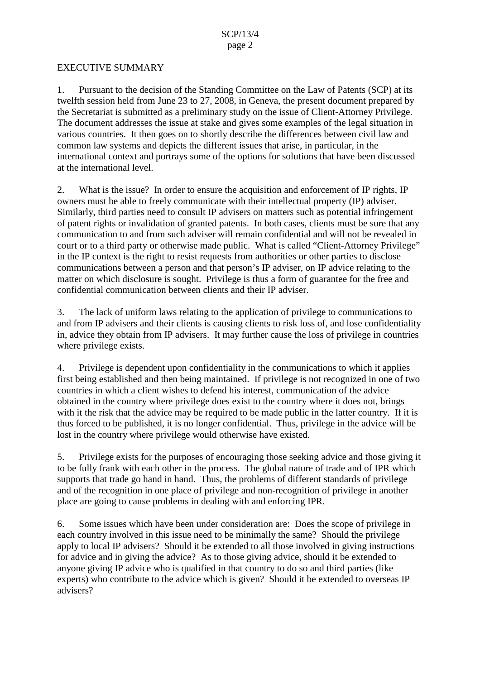#### EXECUTIVE SUMMARY

1. Pursuant to the decision of the Standing Committee on the Law of Patents (SCP) at its twelfth session held from June 23 to 27, 2008, in Geneva, the present document prepared by the Secretariat is submitted as a preliminary study on the issue of Client-Attorney Privilege. The document addresses the issue at stake and gives some examples of the legal situation in various countries. It then goes on to shortly describe the differences between civil law and common law systems and depicts the different issues that arise, in particular, in the international context and portrays some of the options for solutions that have been discussed at the international level.

2. What is the issue? In order to ensure the acquisition and enforcement of IP rights, IP owners must be able to freely communicate with their intellectual property (IP) adviser. Similarly, third parties need to consult IP advisers on matters such as potential infringement of patent rights or invalidation of granted patents. In both cases, clients must be sure that any communication to and from such adviser will remain confidential and will not be revealed in court or to a third party or otherwise made public. What is called "Client-Attorney Privilege" in the IP context is the right to resist requests from authorities or other parties to disclose communications between a person and that person's IP adviser, on IP advice relating to the matter on which disclosure is sought. Privilege is thus a form of guarantee for the free and confidential communication between clients and their IP adviser.

3. The lack of uniform laws relating to the application of privilege to communications to and from IP advisers and their clients is causing clients to risk loss of, and lose confidentiality in, advice they obtain from IP advisers. It may further cause the loss of privilege in countries where privilege exists.

4. Privilege is dependent upon confidentiality in the communications to which it applies first being established and then being maintained. If privilege is not recognized in one of two countries in which a client wishes to defend his interest, communication of the advice obtained in the country where privilege does exist to the country where it does not, brings with it the risk that the advice may be required to be made public in the latter country. If it is thus forced to be published, it is no longer confidential. Thus, privilege in the advice will be lost in the country where privilege would otherwise have existed.

5. Privilege exists for the purposes of encouraging those seeking advice and those giving it to be fully frank with each other in the process. The global nature of trade and of IPR which supports that trade go hand in hand. Thus, the problems of different standards of privilege and of the recognition in one place of privilege and non-recognition of privilege in another place are going to cause problems in dealing with and enforcing IPR.

6. Some issues which have been under consideration are: Does the scope of privilege in each country involved in this issue need to be minimally the same? Should the privilege apply to local IP advisers? Should it be extended to all those involved in giving instructions for advice and in giving the advice? As to those giving advice, should it be extended to anyone giving IP advice who is qualified in that country to do so and third parties (like experts) who contribute to the advice which is given? Should it be extended to overseas IP advisers?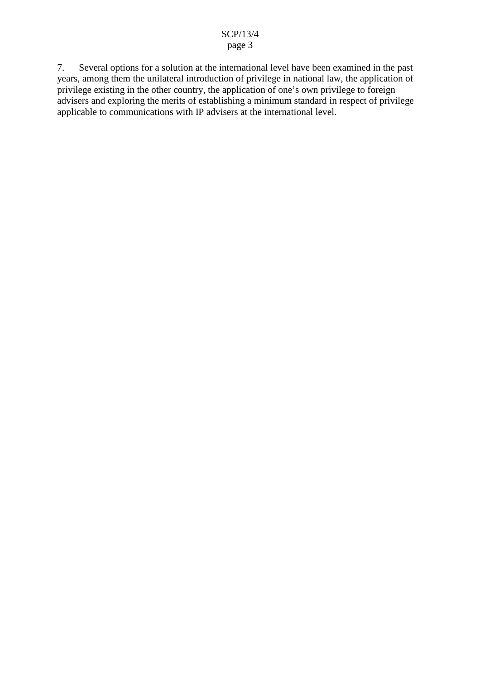7. Several options for a solution at the international level have been examined in the past years, among them the unilateral introduction of privilege in national law, the application of privilege existing in the other country, the application of one's own privilege to foreign advisers and exploring the merits of establishing a minimum standard in respect of privilege applicable to communications with IP advisers at the international level.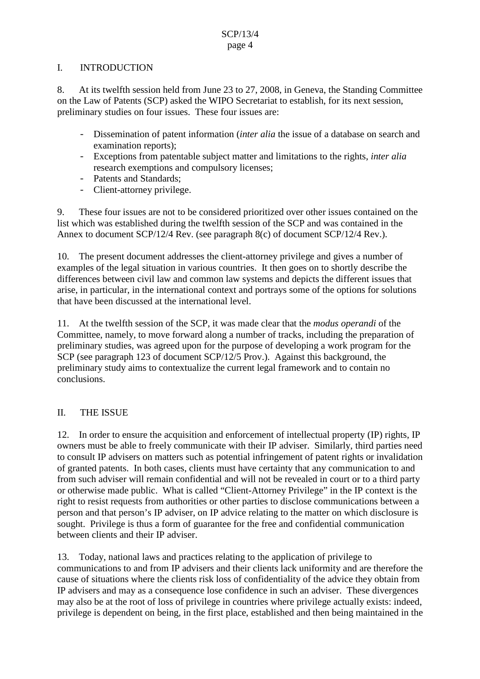#### I. INTRODUCTION

8. At its twelfth session held from June 23 to 27, 2008, in Geneva, the Standing Committee on the Law of Patents (SCP) asked the WIPO Secretariat to establish, for its next session, preliminary studies on four issues. These four issues are:

- Dissemination of patent information (*inter alia* the issue of a database on search and examination reports);
- Exceptions from patentable subject matter and limitations to the rights, *inter alia* research exemptions and compulsory licenses;
- Patents and Standards;
- Client-attorney privilege.

9. These four issues are not to be considered prioritized over other issues contained on the list which was established during the twelfth session of the SCP and was contained in the Annex to document SCP/12/4 Rev. (see paragraph 8(c) of document SCP/12/4 Rev.).

10. The present document addresses the client-attorney privilege and gives a number of examples of the legal situation in various countries. It then goes on to shortly describe the differences between civil law and common law systems and depicts the different issues that arise, in particular, in the international context and portrays some of the options for solutions that have been discussed at the international level.

11. At the twelfth session of the SCP, it was made clear that the *modus operandi* of the Committee, namely, to move forward along a number of tracks, including the preparation of preliminary studies, was agreed upon for the purpose of developing a work program for the SCP (see paragraph 123 of document SCP/12/5 Prov.). Against this background, the preliminary study aims to contextualize the current legal framework and to contain no conclusions.

## II. THE ISSUE

12. In order to ensure the acquisition and enforcement of intellectual property (IP) rights, IP owners must be able to freely communicate with their IP adviser. Similarly, third parties need to consult IP advisers on matters such as potential infringement of patent rights or invalidation of granted patents. In both cases, clients must have certainty that any communication to and from such adviser will remain confidential and will not be revealed in court or to a third party or otherwise made public. What is called "Client-Attorney Privilege" in the IP context is the right to resist requests from authorities or other parties to disclose communications between a person and that person's IP adviser, on IP advice relating to the matter on which disclosure is sought. Privilege is thus a form of guarantee for the free and confidential communication between clients and their IP adviser.

13. Today, national laws and practices relating to the application of privilege to communications to and from IP advisers and their clients lack uniformity and are therefore the cause of situations where the clients risk loss of confidentiality of the advice they obtain from IP advisers and may as a consequence lose confidence in such an adviser. These divergences may also be at the root of loss of privilege in countries where privilege actually exists: indeed, privilege is dependent on being, in the first place, established and then being maintained in the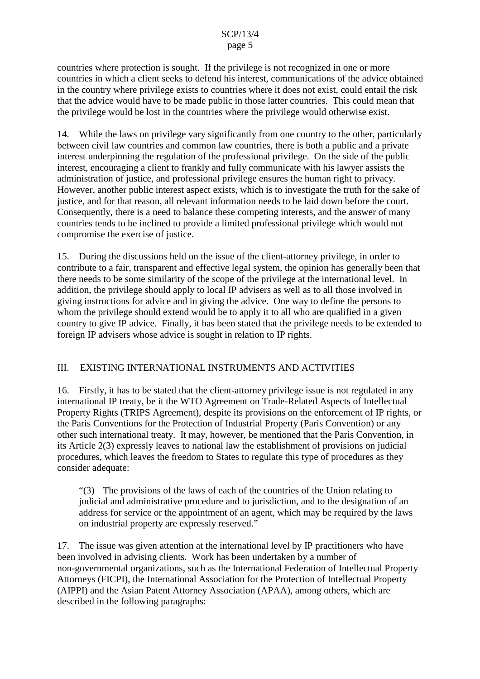countries where protection is sought. If the privilege is not recognized in one or more countries in which a client seeks to defend his interest, communications of the advice obtained in the country where privilege exists to countries where it does not exist, could entail the risk that the advice would have to be made public in those latter countries. This could mean that the privilege would be lost in the countries where the privilege would otherwise exist.

14. While the laws on privilege vary significantly from one country to the other, particularly between civil law countries and common law countries, there is both a public and a private interest underpinning the regulation of the professional privilege. On the side of the public interest, encouraging a client to frankly and fully communicate with his lawyer assists the administration of justice, and professional privilege ensures the human right to privacy. However, another public interest aspect exists, which is to investigate the truth for the sake of justice, and for that reason, all relevant information needs to be laid down before the court. Consequently, there is a need to balance these competing interests, and the answer of many countries tends to be inclined to provide a limited professional privilege which would not compromise the exercise of justice.

15. During the discussions held on the issue of the client-attorney privilege, in order to contribute to a fair, transparent and effective legal system, the opinion has generally been that there needs to be some similarity of the scope of the privilege at the international level. In addition, the privilege should apply to local IP advisers as well as to all those involved in giving instructions for advice and in giving the advice. One way to define the persons to whom the privilege should extend would be to apply it to all who are qualified in a given country to give IP advice. Finally, it has been stated that the privilege needs to be extended to foreign IP advisers whose advice is sought in relation to IP rights.

#### III. EXISTING INTERNATIONAL INSTRUMENTS AND ACTIVITIES

16. Firstly, it has to be stated that the client-attorney privilege issue is not regulated in any international IP treaty, be it the WTO Agreement on Trade-Related Aspects of Intellectual Property Rights (TRIPS Agreement), despite its provisions on the enforcement of IP rights, or the Paris Conventions for the Protection of Industrial Property (Paris Convention) or any other such international treaty. It may, however, be mentioned that the Paris Convention, in its Article 2(3) expressly leaves to national law the establishment of provisions on judicial procedures, which leaves the freedom to States to regulate this type of procedures as they consider adequate:

"(3) The provisions of the laws of each of the countries of the Union relating to judicial and administrative procedure and to jurisdiction, and to the designation of an address for service or the appointment of an agent, which may be required by the laws on industrial property are expressly reserved."

17. The issue was given attention at the international level by IP practitioners who have been involved in advising clients. Work has been undertaken by a number of non-governmental organizations, such as the International Federation of Intellectual Property Attorneys (FICPI), the International Association for the Protection of Intellectual Property (AIPPI) and the Asian Patent Attorney Association (APAA), among others, which are described in the following paragraphs: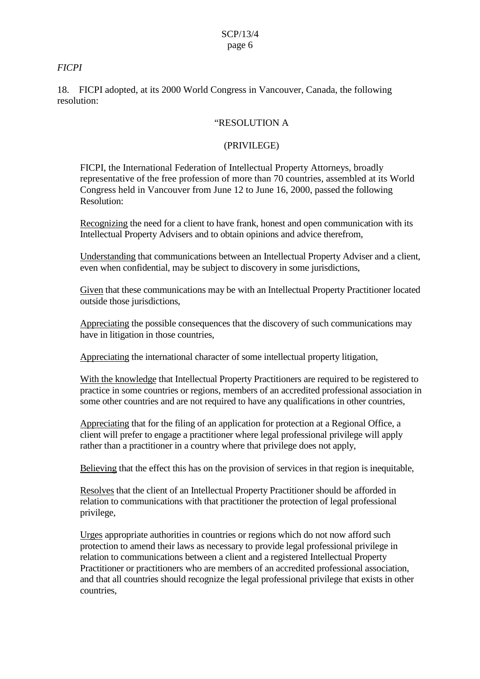#### *FICPI*

18. FICPI adopted, at its 2000 World Congress in Vancouver, Canada, the following resolution:

#### "RESOLUTION A

#### (PRIVILEGE)

FICPI, the International Federation of Intellectual Property Attorneys, broadly representative of the free profession of more than 70 countries, assembled at its World Congress held in Vancouver from June 12 to June 16, 2000, passed the following Resolution:

Recognizing the need for a client to have frank, honest and open communication with its Intellectual Property Advisers and to obtain opinions and advice therefrom,

Understanding that communications between an Intellectual Property Adviser and a client, even when confidential, may be subject to discovery in some jurisdictions,

Given that these communications may be with an Intellectual Property Practitioner located outside those jurisdictions,

Appreciating the possible consequences that the discovery of such communications may have in litigation in those countries,

Appreciating the international character of some intellectual property litigation,

With the knowledge that Intellectual Property Practitioners are required to be registered to practice in some countries or regions, members of an accredited professional association in some other countries and are not required to have any qualifications in other countries,

Appreciating that for the filing of an application for protection at a Regional Office, a client will prefer to engage a practitioner where legal professional privilege will apply rather than a practitioner in a country where that privilege does not apply,

Believing that the effect this has on the provision of services in that region is inequitable,

Resolves that the client of an Intellectual Property Practitioner should be afforded in relation to communications with that practitioner the protection of legal professional privilege,

Urges appropriate authorities in countries or regions which do not now afford such protection to amend their laws as necessary to provide legal professional privilege in relation to communications between a client and a registered Intellectual Property Practitioner or practitioners who are members of an accredited professional association, and that all countries should recognize the legal professional privilege that exists in other countries,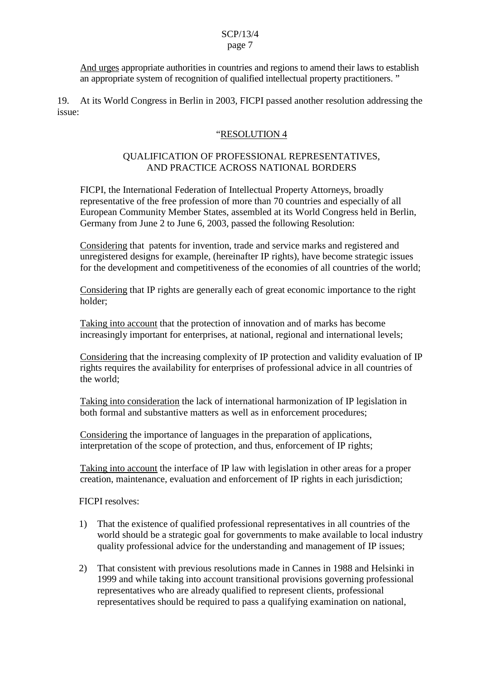And urges appropriate authorities in countries and regions to amend their laws to establish an appropriate system of recognition of qualified intellectual property practitioners. "

19. At its World Congress in Berlin in 2003, FICPI passed another resolution addressing the issue:

#### "RESOLUTION 4

#### QUALIFICATION OF PROFESSIONAL REPRESENTATIVES, AND PRACTICE ACROSS NATIONAL BORDERS

FICPI, the International Federation of Intellectual Property Attorneys, broadly representative of the free profession of more than 70 countries and especially of all European Community Member States, assembled at its World Congress held in Berlin, Germany from June 2 to June 6, 2003, passed the following Resolution:

Considering that patents for invention, trade and service marks and registered and unregistered designs for example, (hereinafter IP rights), have become strategic issues for the development and competitiveness of the economies of all countries of the world;

Considering that IP rights are generally each of great economic importance to the right holder;

Taking into account that the protection of innovation and of marks has become increasingly important for enterprises, at national, regional and international levels;

Considering that the increasing complexity of IP protection and validity evaluation of IP rights requires the availability for enterprises of professional advice in all countries of the world;

Taking into consideration the lack of international harmonization of IP legislation in both formal and substantive matters as well as in enforcement procedures;

Considering the importance of languages in the preparation of applications, interpretation of the scope of protection, and thus, enforcement of IP rights;

Taking into account the interface of IP law with legislation in other areas for a proper creation, maintenance, evaluation and enforcement of IP rights in each jurisdiction;

FICPI resolves:

- 1) That the existence of qualified professional representatives in all countries of the world should be a strategic goal for governments to make available to local industry quality professional advice for the understanding and management of IP issues;
- 2) That consistent with previous resolutions made in Cannes in 1988 and Helsinki in 1999 and while taking into account transitional provisions governing professional representatives who are already qualified to represent clients, professional representatives should be required to pass a qualifying examination on national,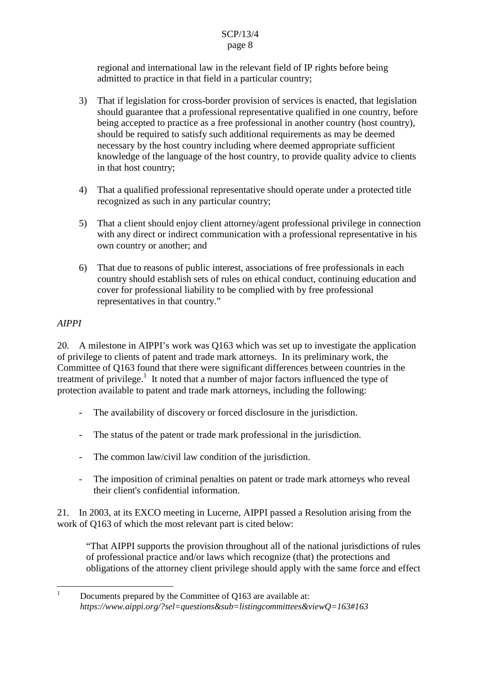regional and international law in the relevant field of IP rights before being admitted to practice in that field in a particular country;

- 3) That if legislation for cross-border provision of services is enacted, that legislation should guarantee that a professional representative qualified in one country, before being accepted to practice as a free professional in another country (host country), should be required to satisfy such additional requirements as may be deemed necessary by the host country including where deemed appropriate sufficient knowledge of the language of the host country, to provide quality advice to clients in that host country;
- 4) That a qualified professional representative should operate under a protected title recognized as such in any particular country;
- 5) That a client should enjoy client attorney/agent professional privilege in connection with any direct or indirect communication with a professional representative in his own country or another; and
- 6) That due to reasons of public interest, associations of free professionals in each country should establish sets of rules on ethical conduct, continuing education and cover for professional liability to be complied with by free professional representatives in that country."

### *AIPPI*

20. A milestone in AIPPI's work was Q163 which was set up to investigate the application of privilege to clients of patent and trade mark attorneys. In its preliminary work, the Committee of Q163 found that there were significant differences between countries in the treatment of privilege.<sup>1</sup> It noted that a number of major factors influenced the type of protection available to patent and trade mark attorneys, including the following:

- The availability of discovery or forced disclosure in the jurisdiction.
- The status of the patent or trade mark professional in the jurisdiction.
- The common law/civil law condition of the jurisdiction.
- The imposition of criminal penalties on patent or trade mark attorneys who reveal their client's confidential information.

21. In 2003, at its EXCO meeting in Lucerne, AIPPI passed a Resolution arising from the work of Q163 of which the most relevant part is cited below:

"That AIPPI supports the provision throughout all of the national jurisdictions of rules of professional practice and/or laws which recognize (that) the protections and obligations of the attorney client privilege should apply with the same force and effect

 $1$  Documents prepared by the Committee of O163 are available at: *https://www.aippi.org/?sel=questions&sub=listingcommittees&viewQ=163#163*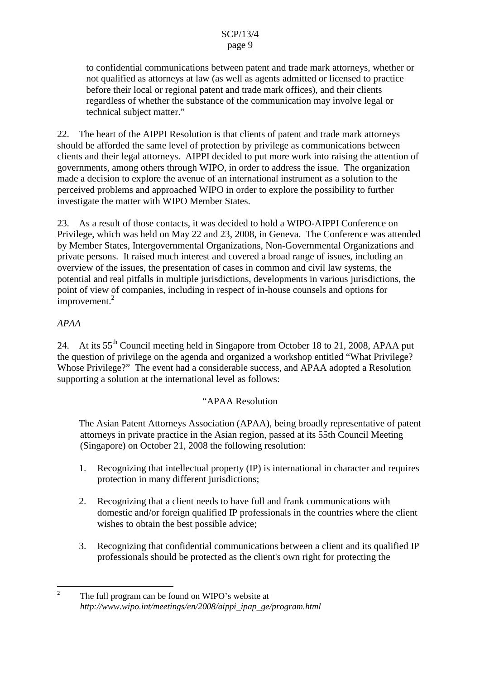to confidential communications between patent and trade mark attorneys, whether or not qualified as attorneys at law (as well as agents admitted or licensed to practice before their local or regional patent and trade mark offices), and their clients regardless of whether the substance of the communication may involve legal or technical subject matter."

22. The heart of the AIPPI Resolution is that clients of patent and trade mark attorneys should be afforded the same level of protection by privilege as communications between clients and their legal attorneys. AIPPI decided to put more work into raising the attention of governments, among others through WIPO, in order to address the issue. The organization made a decision to explore the avenue of an international instrument as a solution to the perceived problems and approached WIPO in order to explore the possibility to further investigate the matter with WIPO Member States.

23. As a result of those contacts, it was decided to hold a WIPO-AIPPI Conference on Privilege, which was held on May 22 and 23, 2008, in Geneva. The Conference was attended by Member States, Intergovernmental Organizations, Non-Governmental Organizations and private persons. It raised much interest and covered a broad range of issues, including an overview of the issues, the presentation of cases in common and civil law systems, the potential and real pitfalls in multiple jurisdictions, developments in various jurisdictions, the point of view of companies, including in respect of in-house counsels and options for improvement.<sup>2</sup>

#### *APAA*

24. At its 55<sup>th</sup> Council meeting held in Singapore from October 18 to 21, 2008, APAA put the question of privilege on the agenda and organized a workshop entitled "What Privilege? Whose Privilege?" The event had a considerable success, and APAA adopted a Resolution supporting a solution at the international level as follows:

#### "APAA Resolution

The Asian Patent Attorneys Association (APAA), being broadly representative of patent attorneys in private practice in the Asian region, passed at its 55th Council Meeting (Singapore) on October 21, 2008 the following resolution:

- 1. Recognizing that intellectual property (IP) is international in character and requires protection in many different jurisdictions;
- 2. Recognizing that a client needs to have full and frank communications with domestic and/or foreign qualified IP professionals in the countries where the client wishes to obtain the best possible advice;
- 3. Recognizing that confidential communications between a client and its qualified IP professionals should be protected as the client's own right for protecting the

<sup>&</sup>lt;sup>2</sup> The full program can be found on WIPO's website at *http://www.wipo.int/meetings/en/2008/aippi\_ipap\_ge/program.html*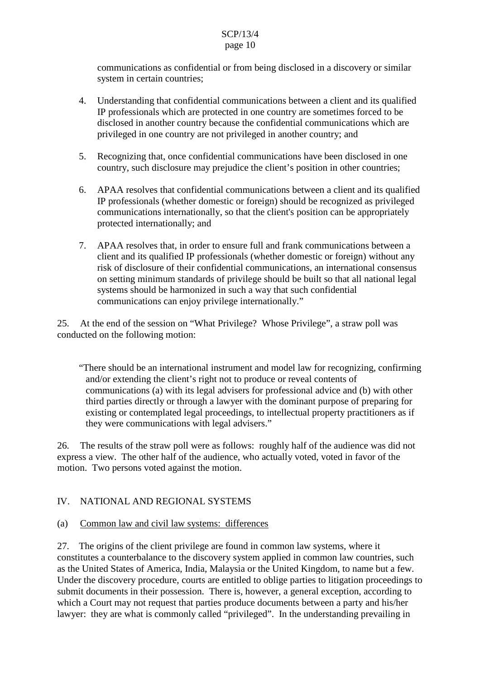communications as confidential or from being disclosed in a discovery or similar system in certain countries;

- 4. Understanding that confidential communications between a client and its qualified IP professionals which are protected in one country are sometimes forced to be disclosed in another country because the confidential communications which are privileged in one country are not privileged in another country; and
- 5. Recognizing that, once confidential communications have been disclosed in one country, such disclosure may prejudice the client's position in other countries;
- 6. APAA resolves that confidential communications between a client and its qualified IP professionals (whether domestic or foreign) should be recognized as privileged communications internationally, so that the client's position can be appropriately protected internationally; and
- 7. APAA resolves that, in order to ensure full and frank communications between a client and its qualified IP professionals (whether domestic or foreign) without any risk of disclosure of their confidential communications, an international consensus on setting minimum standards of privilege should be built so that all national legal systems should be harmonized in such a way that such confidential communications can enjoy privilege internationally."

25. At the end of the session on "What Privilege? Whose Privilege", a straw poll was conducted on the following motion:

"There should be an international instrument and model law for recognizing, confirming and/or extending the client's right not to produce or reveal contents of communications (a) with its legal advisers for professional advice and (b) with other third parties directly or through a lawyer with the dominant purpose of preparing for existing or contemplated legal proceedings, to intellectual property practitioners as if they were communications with legal advisers."

26. The results of the straw poll were as follows: roughly half of the audience was did not express a view. The other half of the audience, who actually voted, voted in favor of the motion. Two persons voted against the motion.

## IV. NATIONAL AND REGIONAL SYSTEMS

#### (a) Common law and civil law systems: differences

27. The origins of the client privilege are found in common law systems, where it constitutes a counterbalance to the discovery system applied in common law countries, such as the United States of America, India, Malaysia or the United Kingdom, to name but a few. Under the discovery procedure, courts are entitled to oblige parties to litigation proceedings to submit documents in their possession. There is, however, a general exception, according to which a Court may not request that parties produce documents between a party and his/her lawyer: they are what is commonly called "privileged". In the understanding prevailing in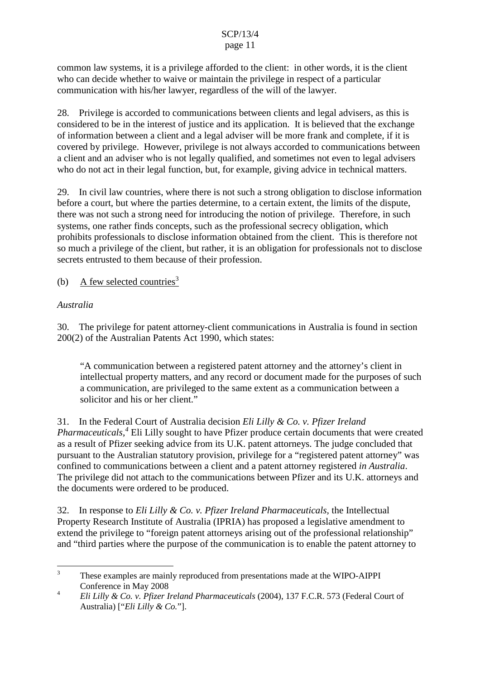# SCP/13/4

#### page 11

common law systems, it is a privilege afforded to the client: in other words, it is the client who can decide whether to waive or maintain the privilege in respect of a particular communication with his/her lawyer, regardless of the will of the lawyer.

28. Privilege is accorded to communications between clients and legal advisers, as this is considered to be in the interest of justice and its application. It is believed that the exchange of information between a client and a legal adviser will be more frank and complete, if it is covered by privilege. However, privilege is not always accorded to communications between a client and an adviser who is not legally qualified, and sometimes not even to legal advisers who do not act in their legal function, but, for example, giving advice in technical matters.

29. In civil law countries, where there is not such a strong obligation to disclose information before a court, but where the parties determine, to a certain extent, the limits of the dispute, there was not such a strong need for introducing the notion of privilege. Therefore, in such systems, one rather finds concepts, such as the professional secrecy obligation, which prohibits professionals to disclose information obtained from the client. This is therefore not so much a privilege of the client, but rather, it is an obligation for professionals not to disclose secrets entrusted to them because of their profession.

(b) A few selected countries<sup>3</sup>

## *Australia*

30. The privilege for patent attorney-client communications in Australia is found in section 200(2) of the Australian Patents Act 1990, which states:

"A communication between a registered patent attorney and the attorney's client in intellectual property matters, and any record or document made for the purposes of such a communication, are privileged to the same extent as a communication between a solicitor and his or her client."

31. In the Federal Court of Australia decision *Eli Lilly & Co. v. Pfizer Ireland*

*Pharmaceuticals*, *<sup>4</sup>* Eli Lilly sought to have Pfizer produce certain documents that were created as a result of Pfizer seeking advice from its U.K. patent attorneys. The judge concluded that pursuant to the Australian statutory provision, privilege for a "registered patent attorney" was confined to communications between a client and a patent attorney registered *in Australia*. The privilege did not attach to the communications between Pfizer and its U.K. attorneys and the documents were ordered to be produced.

32. In response to *Eli Lilly & Co. v. Pfizer Ireland Pharmaceuticals,* the Intellectual Property Research Institute of Australia (IPRIA) has proposed a legislative amendment to extend the privilege to "foreign patent attorneys arising out of the professional relationship" and "third parties where the purpose of the communication is to enable the patent attorney to

<sup>&</sup>lt;sup>3</sup> These examples are mainly reproduced from presentations made at the WIPO-AIPPI Conference in May 2008

<sup>4</sup> *Eli Lilly & Co. v. Pfizer Ireland Pharmaceuticals* (2004), 137 F.C.R. 573 (Federal Court of Australia) ["*Eli Lilly & Co.*"].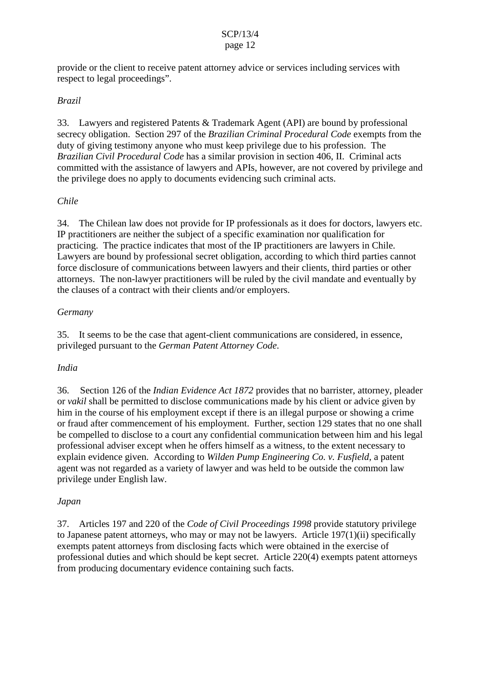provide or the client to receive patent attorney advice or services including services with respect to legal proceedings".

#### *Brazil*

33. Lawyers and registered Patents & Trademark Agent (API) are bound by professional secrecy obligation. Section 297 of the *Brazilian Criminal Procedural Code* exempts from the duty of giving testimony anyone who must keep privilege due to his profession. The *Brazilian Civil Procedural Code* has a similar provision in section 406, II. Criminal acts committed with the assistance of lawyers and APIs, however, are not covered by privilege and the privilege does no apply to documents evidencing such criminal acts.

#### *Chile*

34. The Chilean law does not provide for IP professionals as it does for doctors, lawyers etc. IP practitioners are neither the subject of a specific examination nor qualification for practicing. The practice indicates that most of the IP practitioners are lawyers in Chile. Lawyers are bound by professional secret obligation, according to which third parties cannot force disclosure of communications between lawyers and their clients, third parties or other attorneys. The non-lawyer practitioners will be ruled by the civil mandate and eventually by the clauses of a contract with their clients and/or employers.

#### *Germany*

35. It seems to be the case that agent-client communications are considered, in essence, privileged pursuant to the *German Patent Attorney Code*.

#### *India*

36. Section 126 of the *Indian Evidence Act 1872* provides that no barrister, attorney, pleader or *vakil* shall be permitted to disclose communications made by his client or advice given by him in the course of his employment except if there is an illegal purpose or showing a crime or fraud after commencement of his employment. Further, section 129 states that no one shall be compelled to disclose to a court any confidential communication between him and his legal professional adviser except when he offers himself as a witness, to the extent necessary to explain evidence given. According to *Wilden Pump Engineering Co. v. Fusfield,* a patent agent was not regarded as a variety of lawyer and was held to be outside the common law privilege under English law.

#### *Japan*

37. Articles 197 and 220 of the *Code of Civil Proceedings 1998* provide statutory privilege to Japanese patent attorneys, who may or may not be lawyers. Article 197(1)(ii) specifically exempts patent attorneys from disclosing facts which were obtained in the exercise of professional duties and which should be kept secret. Article 220(4) exempts patent attorneys from producing documentary evidence containing such facts.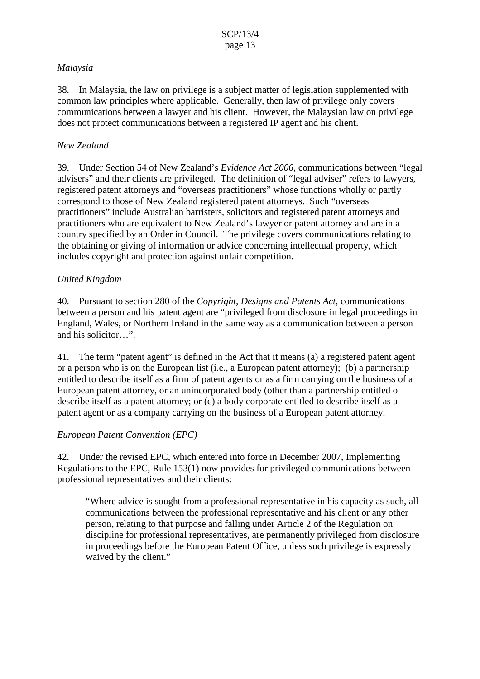#### *Malaysia*

38. In Malaysia, the law on privilege is a subject matter of legislation supplemented with common law principles where applicable. Generally, then law of privilege only covers communications between a lawyer and his client. However, the Malaysian law on privilege does not protect communications between a registered IP agent and his client.

#### *New Zealand*

39. Under Section 54 of New Zealand's *Evidence Act 2006*, communications between "legal advisers" and their clients are privileged. The definition of "legal adviser" refers to lawyers, registered patent attorneys and "overseas practitioners" whose functions wholly or partly correspond to those of New Zealand registered patent attorneys. Such "overseas practitioners" include Australian barristers, solicitors and registered patent attorneys and practitioners who are equivalent to New Zealand's lawyer or patent attorney and are in a country specified by an Order in Council. The privilege covers communications relating to the obtaining or giving of information or advice concerning intellectual property, which includes copyright and protection against unfair competition.

### *United Kingdom*

40. Pursuant to section 280 of the *Copyright, Designs and Patents Act*, communications between a person and his patent agent are "privileged from disclosure in legal proceedings in England, Wales, or Northern Ireland in the same way as a communication between a person and his solicitor…".

41. The term "patent agent" is defined in the Act that it means (a) a registered patent agent or a person who is on the European list (i.e., a European patent attorney); (b) a partnership entitled to describe itself as a firm of patent agents or as a firm carrying on the business of a European patent attorney, or an unincorporated body (other than a partnership entitled o describe itself as a patent attorney; or (c) a body corporate entitled to describe itself as a patent agent or as a company carrying on the business of a European patent attorney.

## *European Patent Convention (EPC)*

42. Under the revised EPC, which entered into force in December 2007, Implementing Regulations to the EPC, Rule 153(1) now provides for privileged communications between professional representatives and their clients:

"Where advice is sought from a professional representative in his capacity as such, all communications between the professional representative and his client or any other person, relating to that purpose and falling under Article 2 of the Regulation on discipline for professional representatives, are permanently privileged from disclosure in proceedings before the European Patent Office, unless such privilege is expressly waived by the client."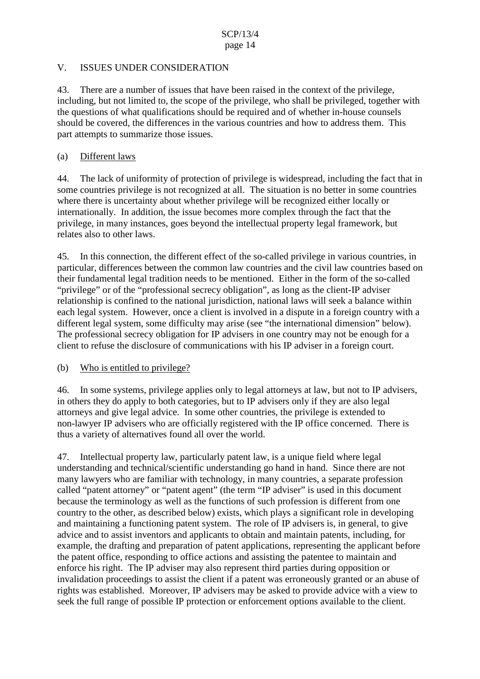#### V. ISSUES UNDER CONSIDERATION

43. There are a number of issues that have been raised in the context of the privilege, including, but not limited to, the scope of the privilege, who shall be privileged, together with the questions of what qualifications should be required and of whether in-house counsels should be covered, the differences in the various countries and how to address them. This part attempts to summarize those issues.

#### (a) Different laws

44. The lack of uniformity of protection of privilege is widespread, including the fact that in some countries privilege is not recognized at all. The situation is no better in some countries where there is uncertainty about whether privilege will be recognized either locally or internationally. In addition, the issue becomes more complex through the fact that the privilege, in many instances, goes beyond the intellectual property legal framework, but relates also to other laws.

45. In this connection, the different effect of the so-called privilege in various countries, in particular, differences between the common law countries and the civil law countries based on their fundamental legal tradition needs to be mentioned. Either in the form of the so-called "privilege" or of the "professional secrecy obligation", as long as the client-IP adviser relationship is confined to the national jurisdiction, national laws will seek a balance within each legal system. However, once a client is involved in a dispute in a foreign country with a different legal system, some difficulty may arise (see "the international dimension" below). The professional secrecy obligation for IP advisers in one country may not be enough for a client to refuse the disclosure of communications with his IP adviser in a foreign court.

#### (b) Who is entitled to privilege?

46. In some systems, privilege applies only to legal attorneys at law, but not to IP advisers, in others they do apply to both categories, but to IP advisers only if they are also legal attorneys and give legal advice. In some other countries, the privilege is extended to non-lawyer IP advisers who are officially registered with the IP office concerned. There is thus a variety of alternatives found all over the world.

47. Intellectual property law, particularly patent law, is a unique field where legal understanding and technical/scientific understanding go hand in hand. Since there are not many lawyers who are familiar with technology, in many countries, a separate profession called "patent attorney" or "patent agent" (the term "IP adviser" is used in this document because the terminology as well as the functions of such profession is different from one country to the other, as described below) exists, which plays a significant role in developing and maintaining a functioning patent system. The role of IP advisers is, in general, to give advice and to assist inventors and applicants to obtain and maintain patents, including, for example, the drafting and preparation of patent applications, representing the applicant before the patent office, responding to office actions and assisting the patentee to maintain and enforce his right. The IP adviser may also represent third parties during opposition or invalidation proceedings to assist the client if a patent was erroneously granted or an abuse of rights was established. Moreover, IP advisers may be asked to provide advice with a view to seek the full range of possible IP protection or enforcement options available to the client.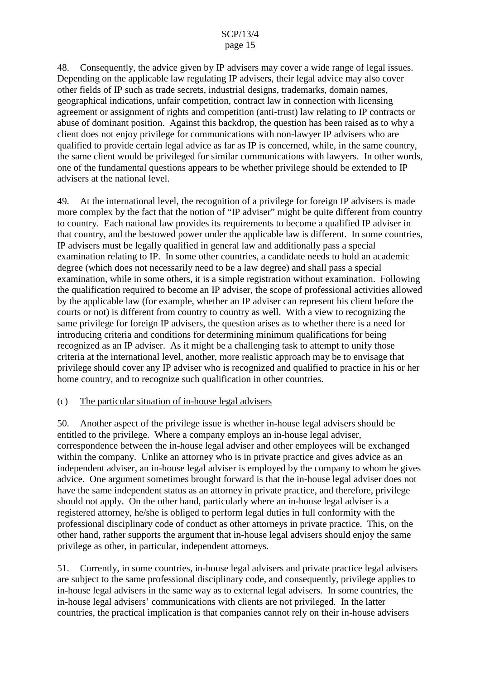48. Consequently, the advice given by IP advisers may cover a wide range of legal issues. Depending on the applicable law regulating IP advisers, their legal advice may also cover other fields of IP such as trade secrets, industrial designs, trademarks, domain names, geographical indications, unfair competition, contract law in connection with licensing agreement or assignment of rights and competition (anti-trust) law relating to IP contracts or abuse of dominant position. Against this backdrop, the question has been raised as to why a client does not enjoy privilege for communications with non-lawyer IP advisers who are qualified to provide certain legal advice as far as IP is concerned, while, in the same country, the same client would be privileged for similar communications with lawyers. In other words, one of the fundamental questions appears to be whether privilege should be extended to IP advisers at the national level.

49. At the international level, the recognition of a privilege for foreign IP advisers is made more complex by the fact that the notion of "IP adviser" might be quite different from country to country. Each national law provides its requirements to become a qualified IP adviser in that country, and the bestowed power under the applicable law is different. In some countries, IP advisers must be legally qualified in general law and additionally pass a special examination relating to IP. In some other countries, a candidate needs to hold an academic degree (which does not necessarily need to be a law degree) and shall pass a special examination, while in some others, it is a simple registration without examination. Following the qualification required to become an IP adviser, the scope of professional activities allowed by the applicable law (for example, whether an IP adviser can represent his client before the courts or not) is different from country to country as well. With a view to recognizing the same privilege for foreign IP advisers, the question arises as to whether there is a need for introducing criteria and conditions for determining minimum qualifications for being recognized as an IP adviser. As it might be a challenging task to attempt to unify those criteria at the international level, another, more realistic approach may be to envisage that privilege should cover any IP adviser who is recognized and qualified to practice in his or her home country, and to recognize such qualification in other countries.

#### (c) The particular situation of in-house legal advisers

50. Another aspect of the privilege issue is whether in-house legal advisers should be entitled to the privilege. Where a company employs an in-house legal adviser, correspondence between the in-house legal adviser and other employees will be exchanged within the company. Unlike an attorney who is in private practice and gives advice as an independent adviser, an in-house legal adviser is employed by the company to whom he gives advice. One argument sometimes brought forward is that the in-house legal adviser does not have the same independent status as an attorney in private practice, and therefore, privilege should not apply. On the other hand, particularly where an in-house legal adviser is a registered attorney, he/she is obliged to perform legal duties in full conformity with the professional disciplinary code of conduct as other attorneys in private practice. This, on the other hand, rather supports the argument that in-house legal advisers should enjoy the same privilege as other, in particular, independent attorneys.

51. Currently, in some countries, in-house legal advisers and private practice legal advisers are subject to the same professional disciplinary code, and consequently, privilege applies to in-house legal advisers in the same way as to external legal advisers. In some countries, the in-house legal advisers' communications with clients are not privileged. In the latter countries, the practical implication is that companies cannot rely on their in-house advisers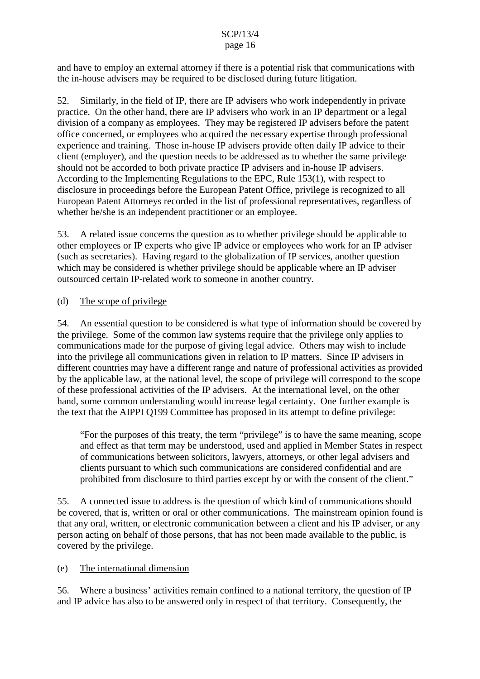## SCP/13/4

#### page 16

and have to employ an external attorney if there is a potential risk that communications with the in-house advisers may be required to be disclosed during future litigation.

52. Similarly, in the field of IP, there are IP advisers who work independently in private practice. On the other hand, there are IP advisers who work in an IP department or a legal division of a company as employees. They may be registered IP advisers before the patent office concerned, or employees who acquired the necessary expertise through professional experience and training. Those in-house IP advisers provide often daily IP advice to their client (employer), and the question needs to be addressed as to whether the same privilege should not be accorded to both private practice IP advisers and in-house IP advisers. According to the Implementing Regulations to the EPC, Rule 153(1), with respect to disclosure in proceedings before the European Patent Office, privilege is recognized to all European Patent Attorneys recorded in the list of professional representatives, regardless of whether he/she is an independent practitioner or an employee.

53. A related issue concerns the question as to whether privilege should be applicable to other employees or IP experts who give IP advice or employees who work for an IP adviser (such as secretaries). Having regard to the globalization of IP services, another question which may be considered is whether privilege should be applicable where an IP adviser outsourced certain IP-related work to someone in another country.

### (d) The scope of privilege

54. An essential question to be considered is what type of information should be covered by the privilege. Some of the common law systems require that the privilege only applies to communications made for the purpose of giving legal advice. Others may wish to include into the privilege all communications given in relation to IP matters. Since IP advisers in different countries may have a different range and nature of professional activities as provided by the applicable law, at the national level, the scope of privilege will correspond to the scope of these professional activities of the IP advisers. At the international level, on the other hand, some common understanding would increase legal certainty. One further example is the text that the AIPPI Q199 Committee has proposed in its attempt to define privilege:

"For the purposes of this treaty, the term "privilege" is to have the same meaning, scope and effect as that term may be understood, used and applied in Member States in respect of communications between solicitors, lawyers, attorneys, or other legal advisers and clients pursuant to which such communications are considered confidential and are prohibited from disclosure to third parties except by or with the consent of the client."

55. A connected issue to address is the question of which kind of communications should be covered, that is, written or oral or other communications. The mainstream opinion found is that any oral, written, or electronic communication between a client and his IP adviser, or any person acting on behalf of those persons, that has not been made available to the public, is covered by the privilege.

#### (e) The international dimension

56. Where a business' activities remain confined to a national territory, the question of IP and IP advice has also to be answered only in respect of that territory. Consequently, the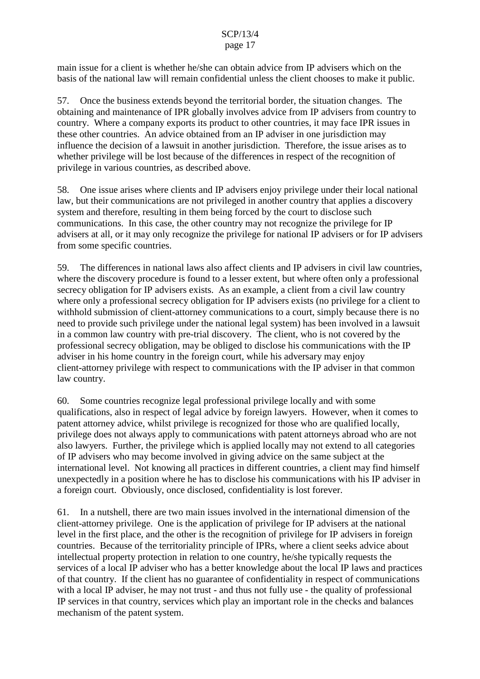# SCP/13/4

#### page 17

main issue for a client is whether he/she can obtain advice from IP advisers which on the basis of the national law will remain confidential unless the client chooses to make it public.

57. Once the business extends beyond the territorial border, the situation changes. The obtaining and maintenance of IPR globally involves advice from IP advisers from country to country. Where a company exports its product to other countries, it may face IPR issues in these other countries. An advice obtained from an IP adviser in one jurisdiction may influence the decision of a lawsuit in another jurisdiction. Therefore, the issue arises as to whether privilege will be lost because of the differences in respect of the recognition of privilege in various countries, as described above.

58. One issue arises where clients and IP advisers enjoy privilege under their local national law, but their communications are not privileged in another country that applies a discovery system and therefore, resulting in them being forced by the court to disclose such communications. In this case, the other country may not recognize the privilege for IP advisers at all, or it may only recognize the privilege for national IP advisers or for IP advisers from some specific countries.

59. The differences in national laws also affect clients and IP advisers in civil law countries, where the discovery procedure is found to a lesser extent, but where often only a professional secrecy obligation for IP advisers exists. As an example, a client from a civil law country where only a professional secrecy obligation for IP advisers exists (no privilege for a client to withhold submission of client-attorney communications to a court, simply because there is no need to provide such privilege under the national legal system) has been involved in a lawsuit in a common law country with pre-trial discovery. The client, who is not covered by the professional secrecy obligation, may be obliged to disclose his communications with the IP adviser in his home country in the foreign court, while his adversary may enjoy client-attorney privilege with respect to communications with the IP adviser in that common law country.

60. Some countries recognize legal professional privilege locally and with some qualifications, also in respect of legal advice by foreign lawyers. However, when it comes to patent attorney advice, whilst privilege is recognized for those who are qualified locally, privilege does not always apply to communications with patent attorneys abroad who are not also lawyers. Further, the privilege which is applied locally may not extend to all categories of IP advisers who may become involved in giving advice on the same subject at the international level. Not knowing all practices in different countries, a client may find himself unexpectedly in a position where he has to disclose his communications with his IP adviser in a foreign court. Obviously, once disclosed, confidentiality is lost forever.

61. In a nutshell, there are two main issues involved in the international dimension of the client-attorney privilege. One is the application of privilege for IP advisers at the national level in the first place, and the other is the recognition of privilege for IP advisers in foreign countries. Because of the territoriality principle of IPRs, where a client seeks advice about intellectual property protection in relation to one country, he/she typically requests the services of a local IP adviser who has a better knowledge about the local IP laws and practices of that country. If the client has no guarantee of confidentiality in respect of communications with a local IP adviser, he may not trust - and thus not fully use - the quality of professional IP services in that country, services which play an important role in the checks and balances mechanism of the patent system.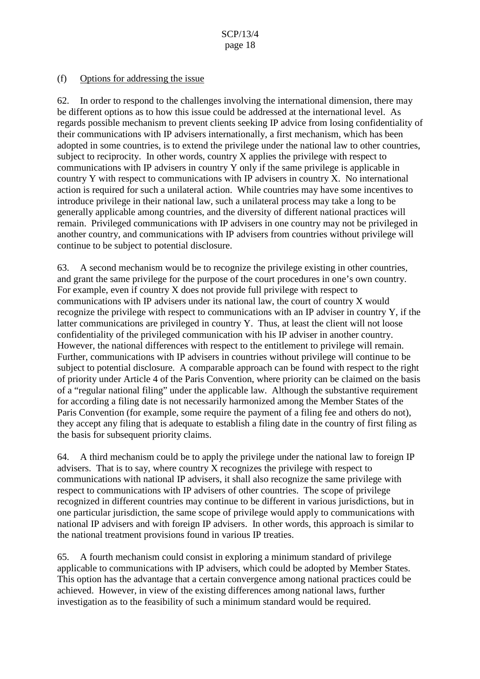#### (f) Options for addressing the issue

62. In order to respond to the challenges involving the international dimension, there may be different options as to how this issue could be addressed at the international level. As regards possible mechanism to prevent clients seeking IP advice from losing confidentiality of their communications with IP advisers internationally, a first mechanism, which has been adopted in some countries, is to extend the privilege under the national law to other countries, subject to reciprocity. In other words, country X applies the privilege with respect to communications with IP advisers in country Y only if the same privilege is applicable in country Y with respect to communications with IP advisers in country X. No international action is required for such a unilateral action. While countries may have some incentives to introduce privilege in their national law, such a unilateral process may take a long to be generally applicable among countries, and the diversity of different national practices will remain. Privileged communications with IP advisers in one country may not be privileged in another country, and communications with IP advisers from countries without privilege will continue to be subject to potential disclosure.

63. A second mechanism would be to recognize the privilege existing in other countries, and grant the same privilege for the purpose of the court procedures in one's own country. For example, even if country X does not provide full privilege with respect to communications with IP advisers under its national law, the court of country X would recognize the privilege with respect to communications with an IP adviser in country Y, if the latter communications are privileged in country Y. Thus, at least the client will not loose confidentiality of the privileged communication with his IP adviser in another country. However, the national differences with respect to the entitlement to privilege will remain. Further, communications with IP advisers in countries without privilege will continue to be subject to potential disclosure. A comparable approach can be found with respect to the right of priority under Article 4 of the Paris Convention, where priority can be claimed on the basis of a "regular national filing" under the applicable law. Although the substantive requirement for according a filing date is not necessarily harmonized among the Member States of the Paris Convention (for example, some require the payment of a filing fee and others do not), they accept any filing that is adequate to establish a filing date in the country of first filing as the basis for subsequent priority claims.

64. A third mechanism could be to apply the privilege under the national law to foreign IP advisers. That is to say, where country X recognizes the privilege with respect to communications with national IP advisers, it shall also recognize the same privilege with respect to communications with IP advisers of other countries. The scope of privilege recognized in different countries may continue to be different in various jurisdictions, but in one particular jurisdiction, the same scope of privilege would apply to communications with national IP advisers and with foreign IP advisers. In other words, this approach is similar to the national treatment provisions found in various IP treaties.

65. A fourth mechanism could consist in exploring a minimum standard of privilege applicable to communications with IP advisers, which could be adopted by Member States. This option has the advantage that a certain convergence among national practices could be achieved. However, in view of the existing differences among national laws, further investigation as to the feasibility of such a minimum standard would be required.